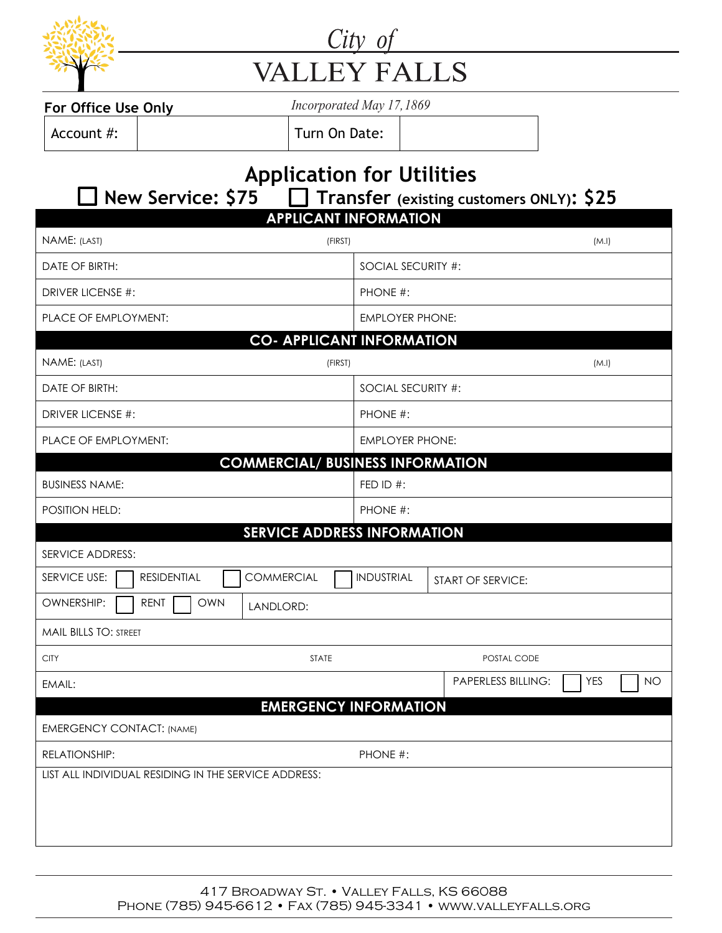

## City of **VALLEY FALLS**

| For Office Use Onl <sup>®</sup> |  |
|---------------------------------|--|
|                                 |  |

**For Office Use Only** *Incorporated May 17, 1869* 

Account #:  $\vert$  Turn On Date:

## **Application for Utilities**<br>**C** New Service: \$75 C Transfer (existing cus **New Service: \$75 Transfer (existing customers ONLY): \$25 APPLICANT INFORMATION**

| <u>ALLEMANI INI VMWAIIVN</u>                                |                                                      |  |  |  |
|-------------------------------------------------------------|------------------------------------------------------|--|--|--|
| NAME: (LAST)<br>(FIRST)                                     | (M.l)                                                |  |  |  |
| DATE OF BIRTH:                                              | SOCIAL SECURITY #:                                   |  |  |  |
| DRIVER LICENSE #:                                           | PHONE #:                                             |  |  |  |
| PLACE OF EMPLOYMENT:                                        | <b>EMPLOYER PHONE:</b>                               |  |  |  |
|                                                             | <b>CO- APPLICANT INFORMATION</b>                     |  |  |  |
| NAME: (LAST)<br>(FIRST)                                     | (M.l)                                                |  |  |  |
| DATE OF BIRTH:                                              | SOCIAL SECURITY #:                                   |  |  |  |
| <b>DRIVER LICENSE #:</b>                                    | PHONE #:                                             |  |  |  |
| PLACE OF EMPLOYMENT:                                        | <b>EMPLOYER PHONE:</b>                               |  |  |  |
|                                                             | <b>COMMERCIAL/ BUSINESS INFORMATION</b>              |  |  |  |
| <b>BUSINESS NAME:</b>                                       | FED ID #:                                            |  |  |  |
| POSITION HELD:                                              | PHONE #:                                             |  |  |  |
|                                                             | <b>SERVICE ADDRESS INFORMATION</b>                   |  |  |  |
| <b>SERVICE ADDRESS:</b>                                     |                                                      |  |  |  |
| <b>COMMERCIAL</b><br>SERVICE USE:<br><b>RESIDENTIAL</b>     | <b>INDUSTRIAL</b><br>START OF SERVICE:               |  |  |  |
| <b>OWNERSHIP:</b><br><b>RENT</b><br><b>OWN</b><br>LANDLORD: |                                                      |  |  |  |
| <b>MAIL BILLS TO: STREET</b>                                |                                                      |  |  |  |
| <b>CITY</b><br><b>STATE</b>                                 | POSTAL CODE                                          |  |  |  |
| EMAIL:                                                      | <b>PAPERLESS BILLING:</b><br><b>YES</b><br><b>NO</b> |  |  |  |
|                                                             | <b>EMERGENCY INFORMATION</b>                         |  |  |  |
| <b>EMERGENCY CONTACT: (NAME)</b>                            |                                                      |  |  |  |
| RELATIONSHIP:                                               | PHONE #:                                             |  |  |  |
| LIST ALL INDIVIDUAL RESIDING IN THE SERVICE ADDRESS:        |                                                      |  |  |  |
|                                                             |                                                      |  |  |  |
|                                                             |                                                      |  |  |  |
|                                                             |                                                      |  |  |  |